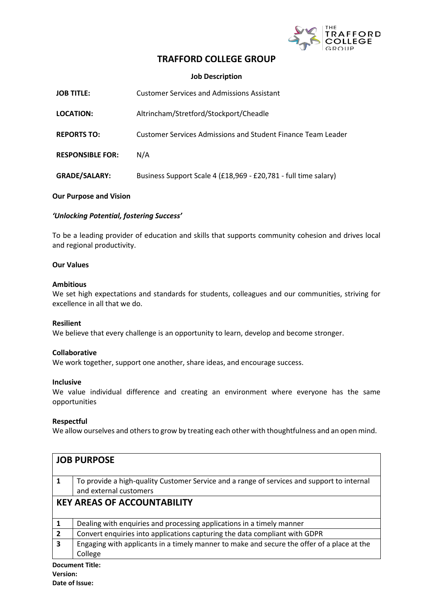

## **TRAFFORD COLLEGE GROUP**

**Job Description**

| <b>JOB TITLE:</b>       | <b>Customer Services and Admissions Assistant</b>               |
|-------------------------|-----------------------------------------------------------------|
| LOCATION:               | Altrincham/Stretford/Stockport/Cheadle                          |
| <b>REPORTS TO:</b>      | Customer Services Admissions and Student Finance Team Leader    |
| <b>RESPONSIBLE FOR:</b> | N/A                                                             |
| <b>GRADE/SALARY:</b>    | Business Support Scale 4 (£18,969 - £20,781 - full time salary) |

#### **Our Purpose and Vision**

## *'Unlocking Potential, fostering Success'*

To be a leading provider of education and skills that supports community cohesion and drives local and regional productivity. 

#### **Our Values**

#### **Ambitious**

We set high expectations and standards for students, colleagues and our communities, striving for excellence in all that we do.  

## **Resilient**

We believe that every challenge is an opportunity to learn, develop and become stronger.  

## **Collaborative**

We work together, support one another, share ideas, and encourage success.  

#### **Inclusive**

We value individual difference and creating an environment where everyone has the same opportunities  

## **Respectful**

We allow ourselves and others to grow by treating each other with thoughtfulness and an open mind. 

| <b>JOB PURPOSE</b>                 |                                                                                            |  |
|------------------------------------|--------------------------------------------------------------------------------------------|--|
|                                    |                                                                                            |  |
| 1                                  | To provide a high-quality Customer Service and a range of services and support to internal |  |
|                                    | and external customers                                                                     |  |
| <b>KEY AREAS OF ACCOUNTABILITY</b> |                                                                                            |  |
|                                    |                                                                                            |  |
| 1                                  | Dealing with enquiries and processing applications in a timely manner                      |  |
| $\overline{2}$                     | Convert enquiries into applications capturing the data compliant with GDPR                 |  |
| 3                                  | Engaging with applicants in a timely manner to make and secure the offer of a place at the |  |
|                                    | College                                                                                    |  |
|                                    |                                                                                            |  |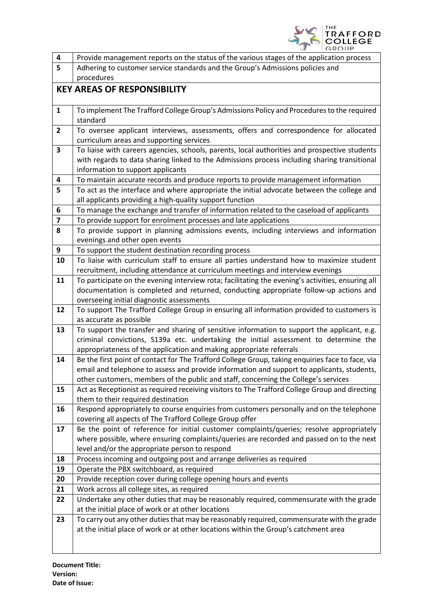

| 4                                  | Provide management reports on the status of the various stages of the application process                                                                                            |  |  |  |
|------------------------------------|--------------------------------------------------------------------------------------------------------------------------------------------------------------------------------------|--|--|--|
| 5                                  | Adhering to customer service standards and the Group's Admissions policies and                                                                                                       |  |  |  |
|                                    | procedures                                                                                                                                                                           |  |  |  |
| <b>KEY AREAS OF RESPONSIBILITY</b> |                                                                                                                                                                                      |  |  |  |
|                                    |                                                                                                                                                                                      |  |  |  |
| $\mathbf{1}$                       | To implement The Trafford College Group's Admissions Policy and Procedures to the required                                                                                           |  |  |  |
|                                    | standard                                                                                                                                                                             |  |  |  |
| $\mathbf{2}$                       | To oversee applicant interviews, assessments, offers and correspondence for allocated                                                                                                |  |  |  |
|                                    | curriculum areas and supporting services                                                                                                                                             |  |  |  |
| 3                                  | To liaise with careers agencies, schools, parents, local authorities and prospective students                                                                                        |  |  |  |
|                                    | with regards to data sharing linked to the Admissions process including sharing transitional                                                                                         |  |  |  |
|                                    | information to support applicants                                                                                                                                                    |  |  |  |
| 4                                  | To maintain accurate records and produce reports to provide management information                                                                                                   |  |  |  |
| 5                                  | To act as the interface and where appropriate the initial advocate between the college and                                                                                           |  |  |  |
|                                    | all applicants providing a high-quality support function                                                                                                                             |  |  |  |
| 6                                  | To manage the exchange and transfer of information related to the caseload of applicants                                                                                             |  |  |  |
| $\overline{\mathbf{z}}$            | To provide support for enrolment processes and late applications                                                                                                                     |  |  |  |
| 8                                  | To provide support in planning admissions events, including interviews and information<br>evenings and other open events                                                             |  |  |  |
| 9                                  | To support the student destination recording process                                                                                                                                 |  |  |  |
| 10                                 | To liaise with curriculum staff to ensure all parties understand how to maximize student                                                                                             |  |  |  |
|                                    | recruitment, including attendance at curriculum meetings and interview evenings                                                                                                      |  |  |  |
| 11                                 | To participate on the evening interview rota; facilitating the evening's activities, ensuring all                                                                                    |  |  |  |
|                                    | documentation is completed and returned, conducting appropriate follow-up actions and                                                                                                |  |  |  |
|                                    | overseeing initial diagnostic assessments                                                                                                                                            |  |  |  |
| 12                                 | To support The Trafford College Group in ensuring all information provided to customers is                                                                                           |  |  |  |
|                                    | as accurate as possible                                                                                                                                                              |  |  |  |
| 13                                 | To support the transfer and sharing of sensitive information to support the applicant, e.g.                                                                                          |  |  |  |
|                                    | criminal convictions, S139a etc. undertaking the initial assessment to determine the                                                                                                 |  |  |  |
|                                    | appropriateness of the application and making appropriate referrals                                                                                                                  |  |  |  |
| 14                                 | Be the first point of contact for The Trafford College Group, taking enquiries face to face, via                                                                                     |  |  |  |
|                                    | email and telephone to assess and provide information and support to applicants, students,                                                                                           |  |  |  |
|                                    | other customers, members of the public and staff, concerning the College's services                                                                                                  |  |  |  |
| 15                                 | Act as Receptionist as required receiving visitors to The Trafford College Group and directing                                                                                       |  |  |  |
|                                    | them to their required destination                                                                                                                                                   |  |  |  |
| 16                                 | Respond appropriately to course enquiries from customers personally and on the telephone                                                                                             |  |  |  |
|                                    | covering all aspects of The Trafford College Group offer                                                                                                                             |  |  |  |
| 17                                 | Be the point of reference for initial customer complaints/queries; resolve appropriately<br>where possible, where ensuring complaints/queries are recorded and passed on to the next |  |  |  |
|                                    | level and/or the appropriate person to respond                                                                                                                                       |  |  |  |
| 18                                 | Process incoming and outgoing post and arrange deliveries as required                                                                                                                |  |  |  |
| 19                                 | Operate the PBX switchboard, as required                                                                                                                                             |  |  |  |
| 20                                 | Provide reception cover during college opening hours and events                                                                                                                      |  |  |  |
| 21                                 | Work across all college sites, as required                                                                                                                                           |  |  |  |
| 22                                 | Undertake any other duties that may be reasonably required, commensurate with the grade                                                                                              |  |  |  |
|                                    | at the initial place of work or at other locations                                                                                                                                   |  |  |  |
| 23                                 | To carry out any other duties that may be reasonably required, commensurate with the grade                                                                                           |  |  |  |
|                                    | at the initial place of work or at other locations within the Group's catchment area                                                                                                 |  |  |  |
|                                    |                                                                                                                                                                                      |  |  |  |
|                                    |                                                                                                                                                                                      |  |  |  |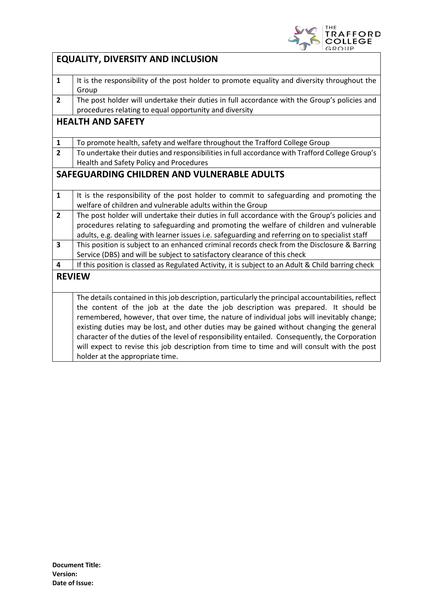

|                                             | <b>EQUALITY, DIVERSITY AND INCLUSION</b>                                                                                                                                                                                                                                                                                                                                                                                                                                                                                                                                                                               |  |  |  |
|---------------------------------------------|------------------------------------------------------------------------------------------------------------------------------------------------------------------------------------------------------------------------------------------------------------------------------------------------------------------------------------------------------------------------------------------------------------------------------------------------------------------------------------------------------------------------------------------------------------------------------------------------------------------------|--|--|--|
| $\mathbf{1}$                                | It is the responsibility of the post holder to promote equality and diversity throughout the<br>Group                                                                                                                                                                                                                                                                                                                                                                                                                                                                                                                  |  |  |  |
| $\mathbf{2}$                                | The post holder will undertake their duties in full accordance with the Group's policies and<br>procedures relating to equal opportunity and diversity                                                                                                                                                                                                                                                                                                                                                                                                                                                                 |  |  |  |
| <b>HEALTH AND SAFETY</b>                    |                                                                                                                                                                                                                                                                                                                                                                                                                                                                                                                                                                                                                        |  |  |  |
| $\mathbf{1}$                                | To promote health, safety and welfare throughout the Trafford College Group                                                                                                                                                                                                                                                                                                                                                                                                                                                                                                                                            |  |  |  |
| $\overline{2}$                              | To undertake their duties and responsibilities in full accordance with Trafford College Group's<br>Health and Safety Policy and Procedures                                                                                                                                                                                                                                                                                                                                                                                                                                                                             |  |  |  |
| SAFEGUARDING CHILDREN AND VULNERABLE ADULTS |                                                                                                                                                                                                                                                                                                                                                                                                                                                                                                                                                                                                                        |  |  |  |
| $\mathbf{1}$                                | It is the responsibility of the post holder to commit to safeguarding and promoting the<br>welfare of children and vulnerable adults within the Group                                                                                                                                                                                                                                                                                                                                                                                                                                                                  |  |  |  |
| $\overline{2}$                              | The post holder will undertake their duties in full accordance with the Group's policies and<br>procedures relating to safeguarding and promoting the welfare of children and vulnerable<br>adults, e.g. dealing with learner issues i.e. safeguarding and referring on to specialist staff                                                                                                                                                                                                                                                                                                                            |  |  |  |
| 3                                           | This position is subject to an enhanced criminal records check from the Disclosure & Barring<br>Service (DBS) and will be subject to satisfactory clearance of this check                                                                                                                                                                                                                                                                                                                                                                                                                                              |  |  |  |
| 4                                           | If this position is classed as Regulated Activity, it is subject to an Adult & Child barring check                                                                                                                                                                                                                                                                                                                                                                                                                                                                                                                     |  |  |  |
| <b>REVIEW</b>                               |                                                                                                                                                                                                                                                                                                                                                                                                                                                                                                                                                                                                                        |  |  |  |
|                                             | The details contained in this job description, particularly the principal accountabilities, reflect<br>the content of the job at the date the job description was prepared. It should be<br>remembered, however, that over time, the nature of individual jobs will inevitably change;<br>existing duties may be lost, and other duties may be gained without changing the general<br>character of the duties of the level of responsibility entailed. Consequently, the Corporation<br>will expect to revise this job description from time to time and will consult with the post<br>holder at the appropriate time. |  |  |  |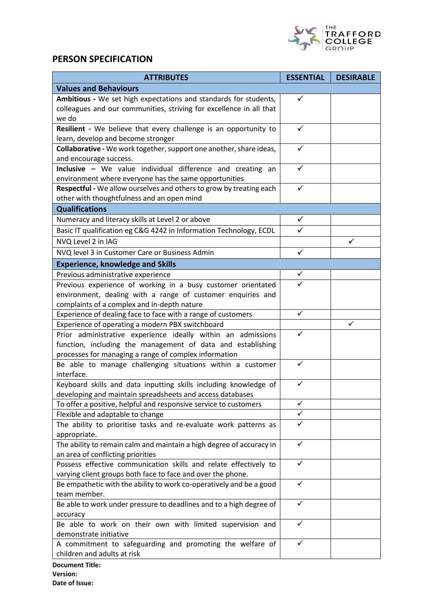

# **PERSON SPECIFICATION**

| <b>ATTRIBUTES</b>                                                                                                               | <b>ESSENTIAL</b> | <b>DESIRABLE</b> |  |  |
|---------------------------------------------------------------------------------------------------------------------------------|------------------|------------------|--|--|
| <b>Values and Behaviours</b>                                                                                                    |                  |                  |  |  |
| Ambitious - We set high expectations and standards for students,                                                                | ✓                |                  |  |  |
| colleagues and our communities, striving for excellence in all that                                                             |                  |                  |  |  |
| we do                                                                                                                           |                  |                  |  |  |
| Resilient - We believe that every challenge is an opportunity to                                                                | ✓                |                  |  |  |
| learn, develop and become stronger                                                                                              |                  |                  |  |  |
| Collaborative - We work together, support one another, share ideas,                                                             | ✓                |                  |  |  |
| and encourage success.                                                                                                          |                  |                  |  |  |
| Inclusive - We value individual difference and creating an                                                                      |                  |                  |  |  |
| environment where everyone has the same opportunities                                                                           |                  |                  |  |  |
| Respectful - We allow ourselves and others to grow by treating each                                                             | ✓                |                  |  |  |
| other with thoughtfulness and an open mind                                                                                      |                  |                  |  |  |
| <b>Qualifications</b>                                                                                                           |                  |                  |  |  |
| Numeracy and literacy skills at Level 2 or above                                                                                | $\checkmark$     |                  |  |  |
| Basic IT qualification eg C&G 4242 in Information Technology, ECDL                                                              | $\checkmark$     |                  |  |  |
| NVQ Level 2 in IAG                                                                                                              |                  | ✓                |  |  |
| NVQ level 3 in Customer Care or Business Admin                                                                                  | $\checkmark$     |                  |  |  |
| <b>Experience, knowledge and Skills</b>                                                                                         |                  |                  |  |  |
| Previous administrative experience                                                                                              | ✓                |                  |  |  |
| Previous experience of working in a busy customer orientated                                                                    |                  |                  |  |  |
| environment, dealing with a range of customer enquiries and                                                                     |                  |                  |  |  |
| complaints of a complex and in-depth nature                                                                                     |                  |                  |  |  |
| Experience of dealing face to face with a range of customers                                                                    | $\checkmark$     |                  |  |  |
| Experience of operating a modern PBX switchboard                                                                                |                  |                  |  |  |
| Prior administrative experience ideally within an admissions                                                                    | ✓                |                  |  |  |
| function, including the management of data and establishing                                                                     |                  |                  |  |  |
| processes for managing a range of complex information                                                                           |                  |                  |  |  |
| Be able to manage challenging situations within a customer                                                                      | ✓                |                  |  |  |
| interface.                                                                                                                      |                  |                  |  |  |
| Keyboard skills and data inputting skills including knowledge of                                                                | ✓                |                  |  |  |
| developing and maintain spreadsheets and access databases                                                                       |                  |                  |  |  |
| To offer a positive, helpful and responsive service to customers                                                                | $\checkmark$     |                  |  |  |
| Flexible and adaptable to change                                                                                                | ✓                |                  |  |  |
| The ability to prioritise tasks and re-evaluate work patterns as                                                                | ✓                |                  |  |  |
| appropriate.                                                                                                                    | ✓                |                  |  |  |
| The ability to remain calm and maintain a high degree of accuracy in                                                            |                  |                  |  |  |
| an area of conflicting priorities                                                                                               | ✓                |                  |  |  |
| Possess effective communication skills and relate effectively to<br>varying client groups both face to face and over the phone. |                  |                  |  |  |
| Be empathetic with the ability to work co-operatively and be a good                                                             | ✓                |                  |  |  |
| team member.                                                                                                                    |                  |                  |  |  |
| Be able to work under pressure to deadlines and to a high degree of                                                             | ✓                |                  |  |  |
| accuracy                                                                                                                        |                  |                  |  |  |
| Be able to work on their own with limited supervision and                                                                       | ✓                |                  |  |  |
| demonstrate initiative                                                                                                          |                  |                  |  |  |
| A commitment to safeguarding and promoting the welfare of                                                                       | ✓                |                  |  |  |
| children and adults at risk                                                                                                     |                  |                  |  |  |
| <b>Document Title:</b>                                                                                                          |                  |                  |  |  |

**Version: Date of Issue:**